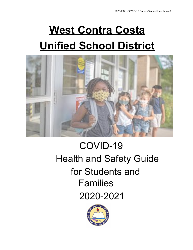# **West Contra Costa Unified School District**

<span id="page-0-0"></span>

## COVID-19 Health and Safety Guide for Students and Families 2020-2021

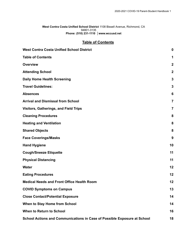#### **West Contra Costa Unified School District** 1108 Bissell Avenue, Richmond, CA 94801-3135 **Phone: (510) 231-1110 │www.wccusd.net**

#### **Table of Contents**

<span id="page-1-0"></span>

| <b>West Contra Costa Unified School District</b>                         | 0                |
|--------------------------------------------------------------------------|------------------|
| <b>Table of Contents</b>                                                 | 1                |
| <b>Overview</b>                                                          | $\boldsymbol{2}$ |
| <b>Attending School</b>                                                  | $\mathbf{2}$     |
| <b>Daily Home Health Screening</b>                                       | 3                |
| <b>Travel Guidelines:</b>                                                | 3                |
| <b>Absences</b>                                                          | 6                |
| <b>Arrival and Dismissal from School</b>                                 | $\overline{7}$   |
| <b>Visitors, Gatherings, and Field Trips</b>                             | $\overline{7}$   |
| <b>Cleaning Procedures</b>                                               | 8                |
| <b>Heating and Ventilation</b>                                           | 8                |
| <b>Shared Objects</b>                                                    | 8                |
| <b>Face Coverings/Masks</b>                                              | 9                |
| <b>Hand Hygiene</b>                                                      | 10               |
| <b>Cough/Sneeze Etiquette</b>                                            | 11               |
| <b>Physical Distancing</b>                                               | 11               |
| <b>Water</b>                                                             | 12               |
| <b>Eating Procedures</b>                                                 | 12               |
| <b>Medical Needs and Front Office Health Room</b>                        | 12               |
| <b>COVID Symptoms on Campus</b>                                          | 13               |
| <b>Close Contact/Potential Exposure</b>                                  | 14               |
| When to Stay Home from School                                            | 14               |
| When to Return to School                                                 | 16               |
| School Actions and Communications in Case of Possible Exposure at School | 18               |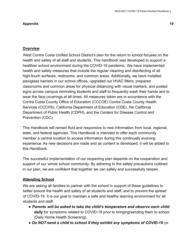#### **[Appendix](#page-19-0) 19**

#### <span id="page-2-0"></span>**Overview**

West Contra Costa Unified School District's plan for the return to school focuses on the health and safety of all staff and students. This handbook was developed to support a healthier school environment during the COVID-19 pandemic. We have implemented health and safety measures that include the regular cleaning and disinfecting of all high-touch surfaces, restrooms, and common areas. Additionally, we have installed plexiglass barriers in our school offices, upgraded our HVAC filters, prepared classrooms and common areas for physical distancing with visual markers, and posted signs across campus reminding students and staff to frequently wash their hands and to wear the face coverings at all times. All measures taken are in accordance with the Contra Costa County Office of Education (CCCOE) Contra Costa County Health Services (CCCHS), California Department of Education (CDE), the California Department of Public Health (CDPH), and the Centers for Disease Control and Prevention (CDC).

This Handbook will remain fluid and responsive to new information from local, regional, state, and federal agencies. This Handbook is intended to offer each community member a central location to access information during this continually evolving experience. As new decisions are made and as content is developed, it will be added to this Handbook.

The successful implementation of our reopening plan depends on the cooperation and support of our whole school community. By adhering to the safety precautions outlined in our plan, we are confident that together we can safely and successfully reopen.

#### <span id="page-2-1"></span>**Attending School**

We are asking all families to partner with the school in support of these guidelines to better ensure the health and safety of all students and staff, and to prevent the spread of COVID-19. It is our goal to maintain a safe and healthy learning environment for all students and staff.

- *Parents will be asked to take the child's temperature and observe each child daily* for symptoms related to COVID-19 prior to bringing/sending them to school (Daily Home Health Screening).
- *Do NOT send a child to school if they exhibit any symptoms of COVID-19* (or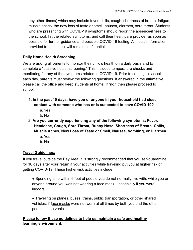any other illness) which may include fever, chills, cough, shortness of breath, fatigue, muscle aches, the new loss of taste or smell, nausea, diarrhea, sore throat. Students who are presenting with COVID-19 symptoms should report the absence/illness to the school, list the related symptoms, and call their healthcare provider as soon as possible for further guidance and possible COVID-19 testing. All health information provided to the school will remain confidential.

#### <span id="page-3-0"></span>**Daily Home Health Screening**

We are asking all parents to monitor their child's health on a daily basis and to complete a "passive health screening." This includes temperature checks and monitoring for any of the symptoms related to COVID-19. Prior to coming to school each day, parents must review the following questions. If answered in the affirmative, please call the office and keep students at home. If "no," then please proceed to school.

- **1. In the past 10 days, have you or anyone in your household had close contact with someone who has or is suspected to have COVID-19?**
	- a. Yes
	- b. No
- 2. **Are you currently experiencing any of the following symptoms: Fever, Headache, Cough, Sore Throat, Runny Nose, Shortness of Breath, Chills, Muscle Aches, New Loss of Taste or Smell, Nausea, Vomiting, or Diarrhea**
	- a. Yes
	- b. No

### <span id="page-3-1"></span>**Travel Guidelines:**

If you travel outside the Bay Area, it is strongly recommended that you self-quarantine for 10 days after your return if your activities while traveling put you at higher risk of getting COVID-19. These higher-risk activities include:

● Spending time within 6 feet of people you do not normally live with, while you or anyone around you was not wearing a face mask – especially if you were indoors.

● Traveling on planes, buses, trains, public transportation, or other shared vehicles, if face masks were not worn at all times by both you and the other people in the vehicle

#### **Please follow these guidelines to help us maintain a safe and healthy learning environment:**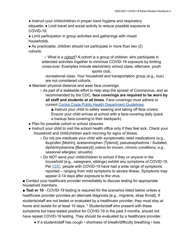• Instruct your child/children in proper hand hygiene and respiratory etiquette. ● Limit travel and social activity to reduce possible exposure to COVID-19.

• Limit participation in group activities and gatherings with mixed households.

• As practicable, children should not participate in more than two (2) cohorts.

> ○ What is a cohort? A cohort is a group of children who participate in extended activities together to minimize COVID-19 exposure by limiting cross-over. Examples include elementary school class, aftercare, youth sports club,

recreational class. Your household and transportation group (e.g., bus) are not considered cohorts.

- Maintain physical distance and wear face coverings.
	- As part of a statewide effort to help stop the spread of Coronavirus, and as recommended by the CDC, **face coverings are required to be worn by all staff and students at all times**. Face coverings must adhere to current Contra Costa Public [Health Department Guidelines](https://813dcad3-2b07-4f3f-a25e-23c48c566922.filesusr.com/ugd/84606e_c4195c7c74a0482f8bfbaa9b357af823.pdf).

■ Instruct your child to safely wearing and taking off face covers. Ensure your child arrives at school with a face-covering daily (pack a backup face-covering in their backpack).

- Plan for possible cohort or school closures.
- Instruct your child to visit the school health office only if they feel sick. Check your household and child/children each morning for signs of illness.
	- $\circ$  Do not pre-medicate your child with symptomatic relief medications (e.g., ibuprofen [Motrin], acetaminophen [Tylenol], pseudoephedrine / Sudafed, diphenhydramine [Benadryl]) *unless for known, chronic conditions; e.g., seasonal allergies; sinusitis*)
	- Do NOT send your child/children to school if they *or anyone in the household* (e.g., caregivers, siblings) exhibit any symptoms of COVID-19. Per [CDC](https://www.cdc.gov/coronavirus/2019-ncov/symptoms-testing/symptoms.html), people with COVID-19 have had a wide range of symptoms reported – ranging from mild symptoms to severe illness. Symptoms may appear 2-14 days after exposure to the virus.

■ Contact your healthcare provider immediately to discuss testing for appropriate household members.

■ **Test or 10** - COVID-19 testing is required for the scenarios listed below unless a healthcare provider provides an alternate diagnosis [e.g., migraine, strep throat]. If students/staff are not tested or evaluated by a healthcare provider, they must stay at home and isolate for at least 10 days. \* Students/staff who present with these symptoms but have tested positive for COVID-19 in the past 3 months, should not have repeat COVID-19 testing. They should be evaluated by a healthcare provider.

• If a student/staff has cough • shortness of breath/difficulty breathing • loss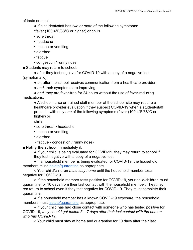of taste or smell.

- If a student/staff has *two or more* of the following symptoms:
- \*fever (100.4°F/38°C or higher) or chills
- sore throat
- headache
- nausea or vomiting
- diarrhea
- fatigue
- congestion / runny nose

■ Students may return to school:

• after they test negative for COVID-19 with a copy of a negative test (symptomatic);

- *or*, after the school receives communication from a healthcare provider;
- *and*, their symptoms are improving;

• and, they are fever-free for 24 hours without the use of fever-reducing medications.

● A school nurse or trained staff member at the school site may require a healthcare provider evaluation if they suspect COVID-19 when a student/staff presents with only *one* of the following symptoms (fever (100.4°F/38°C or higher) or

chills

- sore throat headache
- nausea or vomiting
- diarrhea
- fatigue congestion / runny nose)

■ **Notify the school** immediately if:

• If your child is being evaluated for COVID-19, they may return to school if they test negative with a copy of a negative test.

• If a household member is being evaluated for COVID-19, the household members must isolate/quarantine as appropriate.

○ Your child/children *must stay home* until the household member tests negative for COVID-19.

 $\circ$  If the household member tests positive for COVID-19, your child/children must quarantine for 10 days from their last contact with the household member. They *may not* return to school even if they test negative for COVID-19. They must complete their quarantine.

• If a household member has a known COVID-19 exposure, the household members must isolate/quarantine as appropriate.

**●** If your child has had close contact with someone who has tested positive for COVID-19, *they should get tested 5 – 7 days after their last contact with the person who has COVID-19*.

**○** Your child must stay at home and quarantine for 10 days after their last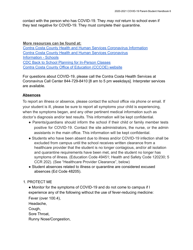contact with the person who has COVID-19. They *may not* return to school even if they test negative for COVID-19. They must complete their quarantine.

**More resources can be found at:** [Contra Costa County Health and Human Services Coronavirus](https://www.coronavirus.cchealth.org/) Information [Contra Costa County Health and Human Services Coronavirus](https://www.coronavirus.cchealth.org/for-schools-and-childcare) [Information - Schools](https://www.coronavirus.cchealth.org/for-schools-and-childcare) [CDC Back to School Planning for In-Person Classes](https://www.cdc.gov/coronavirus/2019-ncov/community/schools-childcare/operation-strategy.html) [Contra Costa County Office of Education \(CCCOE\) website](https://www.cde.ca.gov/ls/he/hn/coronavirus.asp)

For questions about COVID-19, please call the Contra Costa Health Services at Coronavirus Call Center 844-729-8410 [8 am to 5 pm weekdays]. Interpreter services are available.

#### <span id="page-6-0"></span>**Absences**

To report an illness or absence, please contact the school office via phone or email. If your student is ill, please be sure to report all symptoms your child is experiencing, when the symptoms began, and any other pertinent medical information such as doctor's diagnosis and/or test results. This information will be kept confidential.

- Parents/guardians should inform the school if their child or family member tests positive for COVID-19. Contact the site administrators, the nurse, or the admin assistants in the main office. This information will be kept confidential.
- Students who have been absent due to illness and/or COVID-19 infection shall be excluded from campus until the school receives written clearance from a healthcare provider that the student is no longer contagious, and/or all isolation and quarantine requirements have been met, and the student no longer has symptoms of illness. (Education Code 49451; Health and Safety Code 120230; 5 CCR 202). (See "Healthcare Provider Clearance", below)
- Student absences related to illness or quarantine are considered excused absences (Ed Code 48205).

#### 1. PROTECT ME

• Monitor for the symptoms of COVID-19 and do not come to campus if I experience any of the following without the use of fever-reducing medicine:

Fever (over 100.4),

Headache,

Cough,

Sore Throat,

Runny Nose/Congestion,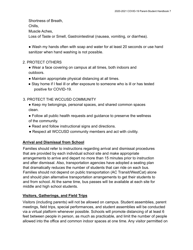Shortness of Breath,

Chills,

Muscle Aches,

Loss of Taste or Smell, Gastrointestinal (nausea, vomiting, or diarrhea).

• Wash my hands often with soap and water for at least 20 seconds or use hand sanitizer when hand washing is not possible.

#### 2. PROTECT OTHERS

● Wear a face covering on campus at all times, both indoors and outdoors.

- Maintain appropriate physical distancing at all times.
- Stay home if I feel ill or after exposure to someone who is ill or has tested positive for COVID-19.

### 3. PROTECT THE WCCUSD COMMUNITY

- Keep my belongings, personal spaces, and shared common spaces clean.
- Follow all public health requests and guidance to preserve the wellness of the community.
- Read and follow instructional signs and directions.
- Respect all WCCUSD community members and act with civility.

### <span id="page-7-0"></span>**Arrival and Dismissal from School**

Families should refer to instructions regarding arrival and dismissal procedures that are provided by each individual school site and make appropriate arrangements to arrive and depart no more than 15 minutes prior to instruction and after dismissal. Also, transportation agencies have adopted a seating plan that dramatically reduces the number of students that can ride on each bus. Families should not depend on public transportation (AC Transit/WestCat) alone and should plan alternative transportation arrangements to get their students to and from school. At the same time, bus passes will be available at each site for middle and high school students.

### <span id="page-7-1"></span>**Visitors, Gatherings, and Field Trips**

Visitors (including parents) will not be allowed on campus. Student assemblies, parent meetings, field trips, special performances, and student assemblies will be conducted via a virtual platform whenever possible. Schools will promote distancing of at least 6 feet between people in person, as much as practicable, and limit the number of people allowed into the office and common indoor spaces at one time. Any visitor permitted on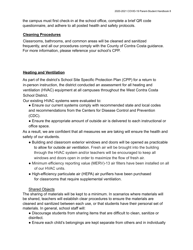the campus must first check-in at the school office, complete a brief QR code questionnaire, and adhere to all posted health and safety protocols.

#### <span id="page-8-0"></span>**Cleaning Procedures**

Classrooms, bathrooms, and common areas will be cleaned and sanitized frequently, and all our procedures comply with the County of Contra Costa guidance. For more information, please reference your school's CPP.

#### <span id="page-8-1"></span>**Heating and Ventilation**

As part of the district's School Site Specific Protection Plan (CPP) for a return to in-person instruction, the district conducted an assessment for all heating and ventilation (HVAC) equipment at all campuses throughout the West Contra Costa School District.

Our existing HVAC systems were evaluated to:

- Ensure our current systems comply with recommended state and local codes and recommendations from the Centers for Disease Control and Prevention (CDC).
- Ensure the appropriate amount of outside air is delivered to each instructional or office space.

As a result, we are confident that all measures we are taking will ensure the health and safety of our students.

- Building and classroom exterior windows and doors will be opened as practicable to allow for outside air ventilation. Fresh air will be brought into the building through the HVAC system and/or teachers will be encouraged to keep all windows and doors open in order to maximize the flow of fresh air.
- Minimum efficiency reporting value (MERV)-13 air filters have been installed on all of our HVAC units.
- High-efficiency particulate air (HEPA) air purifiers have been purchased for classrooms that require supplemental ventilation.

#### Shared Objects

The sharing of materials will be kept to a minimum. In scenarios where materials will be shared, teachers will establish clear procedures to ensure the materials are cleaned and sanitized between each use, or that students have their personal set of materials. In general, school staff will:

- Discourage students from sharing items that are difficult to clean, sanitize or disinfect.
- Ensure each child's belongings are kept separate from others and in individually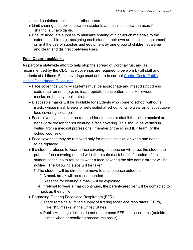labeled containers, cubbies, or other areas.

- Limit sharing of supplies between students and disinfect between uses if sharing is unavoidable.
- Ensure adequate supplies to minimize sharing of high-touch materials to the extent possible (e.g., assigning each student their own art supplies, equipment) or limit the use of supplies and equipment by one group of children at a time and clean and disinfect between uses.

#### <span id="page-9-0"></span>**Face Coverings/Masks**

As part of a statewide effort to help stop the spread of Coronavirus, and as recommended by the CDC, face coverings are required to be worn by all staff and students at all times. Face coverings must adhere to current Contra Costa Public Health Department Guidelines.

- Face coverings worn by students must be appropriate and meet district dress code requirements (e.g. no inappropriate fabric patterns, no Halloween masks, no hate symbols, etc.).
- Disposable masks will be available for students who come to school without a mask, whose mask breaks or gets soiled at school, or who wear an unacceptable face covering to school.
- Face coverings shall not be required for students or staff if there is a medical or behavioral reason for not wearing a face covering. This should be verified in writing from a medical professional, member of the school IEP team, or the school counselor.
- Face coverings may be removed only for meals, snacks, or when one needs to be replaced.
- If a student refuses to wear a face covering, the teacher will direct the student to put their face covering on and will offer a safe mask break if needed. If the student continues to refuse to wear a face-covering the site administrator will be notified. The following steps will be taken:
	- 1. The student will be directed to move to a safe space outdoors.
		- 2. A mask break will be recommended.
		- 3. Reasons for wearing a mask will be explained.
		- 4. If refusal to wear a mask continues, the parent/caregiver will be contacted to pick up their child.
- Regarding Filtering Facepiece Respirators (FFR)
	- There remains a limited supply of filtering facepiece respirators (FFRs), like N95 masks, in the United States
	- Public Health guidelines do not recommend FFRs in classrooms (outside times when aerosolizing procedures occur)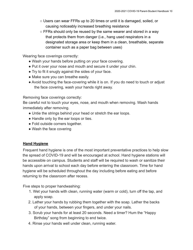- Users can wear FFRs up to 20 times or until it is damaged, soiled, or causing noticeably increased breathing resistance
- FFRs should only be reused by the same wearer and stored in a way that protects them from danger (i.e., hang used respirators in a designated storage area or keep them in a clean, breathable, separate container such as a paper bag between uses)

Wearing face coverings correctly:

- Wash your hands before putting on your face covering.
- Put it over your nose and mouth and secure it under your chin.
- Try to fit it snugly against the sides of your face.
- Make sure you can breathe easily.
- Avoid touching the face-covering while it is on. If you do need to touch or adjust the face covering, wash your hands right away.

Removing face coverings correctly:

Be careful not to touch your eyes, nose, and mouth when removing. Wash hands immediately after removing.

- Untie the strings behind your head or stretch the ear loops.
- Handle only by the ear loops or ties.
- Fold outside corners together.
- Wash the face covering

#### <span id="page-10-0"></span>**Hand Hygiene**

Frequent hand hygiene is one of the most important preventative practices to help slow the spread of COVID-19 and will be encouraged at school. Hand hygiene stations will be accessible on campus. Students and staff will be required to wash or sanitize their hands upon arrival to school each day before entering the classroom. Time for hand hygiene will be scheduled throughout the day including before eating and before returning to the classroom after recess.

Five steps to proper handwashing:

- 1. Wet your hands with clean, running water (warm or cold), turn off the tap, and apply soap.
- 2. Lather your hands by rubbing them together with the soap. Lather the backs of your hands, between your fingers, and under your nails.
- 3. Scrub your hands for at least 20 seconds. Need a timer? Hum the "Happy Birthday" song from beginning to end twice.
- 4. Rinse your hands well under clean, running water.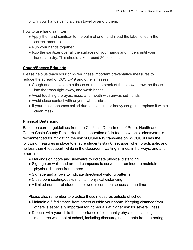5. Dry your hands using a clean towel or air dry them.

How to use hand sanitizer:

- Apply the hand sanitizer to the palm of one hand (read the label to learn the correct amount).
- Rub your hands together.
- Rub the sanitizer over all the surfaces of your hands and fingers until your hands are dry. This should take around 20 seconds.

#### <span id="page-11-0"></span>**Cough/Sneeze Etiquette**

Please help us teach your child(ren) these important preventative measures to reduce the spread of COVID-19 and other illnesses.

- Cough and sneeze into a tissue or into the crook of the elbow, throw the tissue into the trash right away, and wash hands.
- Avoid touching the eyes, nose, and mouth with unwashed hands.
- Avoid close contact with anyone who is sick.
- If your mask becomes soiled due to sneezing or heavy coughing, replace it with a clean mask.

#### <span id="page-11-1"></span>**Physical Distancing**

Based on current guidelines from the California Department of Public Health and Contra Costa County Public Health, a separation of six feet between students/staff is recommended for mitigating the risk of COVID-19 transmission. WCCUSD has the following measures in place to ensure students stay 6 feet apart when practicable, and no less than 4 feet apart, while in the classroom, waiting in lines, in hallways, and at all other times:

- Markings on floors and sidewalks to indicate physical distancing
- Signage on walls and around campuses to serve as a reminder to maintain physical distance from others
- Signage and arrows to indicate directional walking patterns
- Classroom seating/desks maintain physical distancing
- A limited number of students allowed in common spaces at one time

Please also remember to practice these measures outside of school:

- Maintain a 6 ft distance from others outside your home. Keeping distance from others is especially important for individuals at higher risk for severe illness.
- Discuss with your child the importance of community physical distancing measures while not at school, including discouraging students from gathering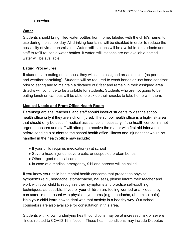#### elsewhere.

#### <span id="page-12-0"></span>**Water**

Students should bring filled water bottles from home, labeled with the child's name, to use during the school day. All drinking fountains will be disabled in order to reduce the possibility of virus transmission. Water refill stations will be available for students and staff to refill reusable water bottles. If water refill stations are not available bottled water will be available.

### <span id="page-12-1"></span>**Eating Procedures**

If students are eating on campus, they will eat in assigned areas outside (as per usual and weather permitting). Students will be required to wash hands or use hand sanitizer prior to eating and to maintain a distance of 6 feet and remain in their assigned area. Snacks will continue to be available for students. Students who are not going to be eating lunch on campus will be able to pick up their snacks to take home with them.

#### <span id="page-12-2"></span>**Medical Needs and Front Office Health Room**

Parents/guardians, teachers, and staff should instruct students to visit the school health office only if they are sick or injured. The school health office is a high-risk area that should only be used if medical assistance is necessary. If the health concern is not urgent, teachers and staff will attempt to resolve the matter with first aid interventions before sending a student to the school health office**.** Illness and injuries that would be handled in the health office may include:

- If your child requires medication(s) at school
- Severe head injuries, severe cuts, or suspected broken bones
- Other urgent medical care
- In case of a medical emergency, 911 and parents will be called

If you know your child has mental health concerns that present as physical symptoms (e.g., headache, stomachache, nausea), please inform their teacher and work with your child to recognize their symptoms and practice self-soothing techniques, as possible. If you or your children are feeling worried or anxious, they can sometimes present with physical symptoms (e.g., headache, abdominal pain). Help your child learn how to deal with that anxiety in a healthy way. Our school counselors are also available for consultation in this area.

Students with known underlying health conditions may be at increased risk of severe illness related to COVID-19 infection. These health conditions may include Diabetes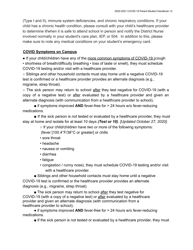(Type I and II), immune system deficiencies, and chronic respiratory conditions. If your child has a chronic health condition, please consult with your child's healthcare provider to determine if/when it is safe to attend school in person and notify the District Nurse involved normally in your student's care plan, IEP, or 504. In addition to this, please make sure to note any medical conditions on your student's emergency card.

#### <span id="page-13-0"></span>**COVID Symptoms on Campus**

• If your child/children have any of the more common symptoms of COVID-19 (cough • shortness of breath/difficulty breathing • loss of taste or smell), they must schedule COVID-19 testing and/or visit with a healthcare provider.

○ Siblings and other household contacts must stay home until a negative COVID-19 test is confirmed or a healthcare provider provides an alternate diagnosis (e.g., migraine, strep throat).

○ The sick person may return to school after they test negative for COVID-19 (with a copy of a negative test) or after evaluated by a healthcare provider and given an alternate diagnosis (with communication from a healthcare provider to school);

■ if symptoms improved **AND** fever-free for > 24 hours w/o fever-reducing medications.

■ If the sick person is not tested or evaluated by a healthcare provider, they must stay at home and isolate for at least 10 days *(Test or 10)*. *[Updated October 27, 2020]*.

○ If your child/children have *two or more* of the following symptoms:

(fever [100.4°F/38°C or greater] or chills

- sore throat
- headache
- nausea or vomiting
- diarrhea
- fatigue
- congestion / runny nose), they must schedule COVID-19 testing and/or visit with a healthcare provider.

■ Siblings and other household contacts must stay home until a negative COVID-19 test is confirmed or the healthcare provider provides an alternate diagnosis (e.g., migraine, strep throat).

■ The sick person may return to school after they test negative for COVID-19 (with a copy of a negative test) or after evaluated by a healthcare provider and given an alternate diagnosis (with communication from a healthcare provider to school);

● if symptoms improved **AND** fever-free for > 24 hours w/o fever-reducing medications.

■ If the sick person is not tested or evaluated by a healthcare provider, they must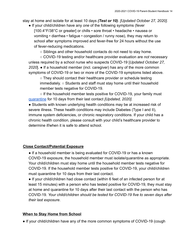stay at home and isolate for at least 10 days *(Test or 10)*. *[Updated October 27, 2020]*.

● If your child/children have any *one* of the following symptoms (fever [100.4°F/38°C or greater] or chills • sore throat • headache • nausea or vomiting • diarrhea • fatigue • congestion / runny nose), they may return to school after symptoms improved and fever-free for 24 hours without the use of fever-reducing medications.

○ Siblings and other household contacts do not need to stay home.

○ COVID-19 testing and/or healthcare provider evaluation are *not* necessary unless required by a school nurse who suspects COVID-19 [*Updated October 27, 2020*]. ● If a household member (incl. caregiver) has any of the more common symptoms of COVID-19 or two or more of the COVID-19 symptoms listed above.

○ They should contact their healthcare provider or schedule testing immediately. ○ Students and staff must stay home until their household member tests negative for COVID-19.

 $\circ$  If the household member tests positive for COVID-19, your family must quarantine for 10 days from their last contact *[Updated, 2020]*.

• Students with known underlying health conditions may be at increased risk of severe illness. These health conditions may include Diabetes (Type I and II), immune system deficiencies, or chronic respiratory conditions. If your child has a chronic health condition, please consult with your child's healthcare provider to determine if/when it is safe to attend school.

#### <span id="page-14-0"></span>**Close Contact/Potential Exposure**

• If a household member is being evaluated for COVID-19 or has a known COVID-19 exposure, the household member must isolate/quarantine as appropriate. Your child/children must stay home until the household member tests negative for COVID-19. If the household member tests positive for COVID-19, your child/children must quarantine for 10 days from their last contact.

● If your child/children had close contact (within 6 feet of an infected person for at least 15 minutes) with a person who has tested positive for COVID-19, they must stay at home and quarantine for 10 days after their last contact with the person who has COVID-19. *Your child/children should be tested for COVID-19 five to seven days after their last exposure*.

#### <span id="page-14-1"></span>**When to Stay Home from School**

• If your child/children have any of the more common symptoms of COVID-19 (cough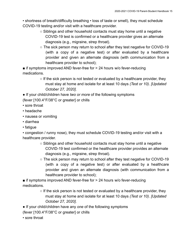• shortness of breath/difficulty breathing • loss of taste or smell), they must schedule COVID-19 testing and/or visit with a healthcare provider.

- Siblings and other household contacts must stay home until a negative COVID-19 test is confirmed or a healthcare provider gives an alternate diagnosis (e.g., migraine, strep throat).
- The sick person may return to school after they test negative for COVID-19 (with a copy of a negative test) or after evaluated by a healthcare provider and given an alternate diagnosis (with communication from a healthcare provider to school);

■ if symptoms improved AND fever-free for > 24 hours w/o fever-reducing medications.

- $\circ$  If the sick person is not tested or evaluated by a healthcare provider, they must stay at home and isolate for at least 10 days *(Test or 10)*. *[Updated October 27, 2020]*.
- If your child/children have *two or more* of the following symptoms

(fever [100.4°F/38°C or greater] or chills

- sore throat
- headache
- nausea or vomiting
- diarrhea
- fatigue

• congestion / runny nose), they must schedule COVID-19 testing and/or visit with a healthcare provider.

- $\circ$  Siblings and other household contacts must stay home until a negative COVID-19 test confirmed or the healthcare provider provides an alternate diagnosis (e.g., migraine, strep throat).
- $\circ$  The sick person may return to school after they test negative for COVID-19 (with a copy of a negative test) or after evaluated by a healthcare provider and given an alternate diagnosis (with communication from a healthcare provider to school);

■ if symptoms improved AND fever-free for > 24 hours w/o fever-reducing medications.

- $\circ$  If the sick person is not tested or evaluated by a healthcare provider, they must stay at home and isolate for at least 10 days *(Test or 10)*. *[Updated October 27, 2020]*.
- If your child/children have any *one* of the following symptoms
- (fever [100.4°F/38°C or greater] or chills
- sore throat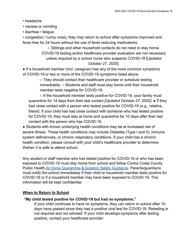- headache
- nausea or vomiting
- diarrhea fatigue

• congestion / runny nose), they may return to school after symptoms improved and fever-free for 24 hours without the use of fever-reducing medications.

> ○ Siblings and other household contacts do not need to stay home. COVID-19 testing and/or healthcare provider evaluation are *not* necessary unless required by a school nurse who suspects COVID-19 [*Updated October 27, 2020*].

• If a household member (incl. caregiver) has any of the more common symptoms of COVID-19 or two or more of the COVID-19 symptoms listed above.

> ○ They should contact their healthcare provider or schedule testing immediately. ○ Students and staff must stay home until their household member tests negative for COVID-19.

○ If the household member tests positive for COVID-19, your family must quarantine for 14 days from their last contact *[Updated October 27, 2020]*. ● If they had close contact with a person who tested positive for COVID-19 (e.g., relative, friend). If your child has had close contact with someone who has tested positive for COVID-19, they must stay at home and quarantine for 10 days after their last contact with the person who has COVID-19.

• Students with known underlying health conditions may be at increased risk of severe illness. These health conditions may include Diabetes (Type I and II), immune system deficiencies, or chronic respiratory conditions. If your child has a chronic health condition, please consult with your child's healthcare provider to determine if/when it is safe to attend school.

Any student or staff member who has tested positive for COVID-19 or who has been exposed to COVID-19 must stay home from school and follow Contra Costa County Public Health [At Home Quarantine & Isolation Safety](https://www.coronavirus.cchealth.org/for-covid-19-patients) Guidance*.* Parents/guardians must notify the school immediately if their child or household member tests positive for COVID-19 or if a household member may have been exposed to COVID-19. This information will be kept confidential.

#### <span id="page-16-0"></span>**When to Return to School**

#### **"My child tested positive for COVID-19 but had no symptoms."**

If your child continues to have no symptoms, they can return to school after 10 days have passed since they had a positive viral test for COVID-19. Retesting is not required and not advised. If your child develops symptoms after testing positive, contact your healthcare provider.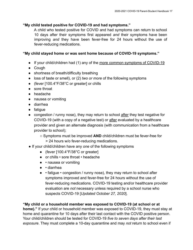#### **"My child tested positive for COVID-19 and had symptoms."**

A child who tested positive for COVID and had symptoms can return to school 10 days after their symptoms first appeared *and* their symptoms have been improving *and* they have been fever-free for 24 hours without the use of fever-reducing medications.

#### **"My child stayed home or was sent home because of COVID-19 symptoms."**

- If your child/children had (1) any of the more common symptoms of COVID-19
- Cough
- shortness of breath/difficulty breathing
- loss of taste or smell), or (2) *two or more* of the following symptoms
- (fever [100.4°F/38°C or greater] or chills
- sore throat
- headache
- nausea or vomiting
- diarrhea
- fatigue
- congestion / runny nose), they may return to school after they test negative for COVID-19 (with a copy of a negative test) or after evaluated by a healthcare provider and given an alternate diagnosis (with communication from a healthcare provider to school);
	- Symptoms must be improved **AND** child/children must be fever-free for > 24 hours w/o fever-reducing medications.
- If your child/children have any *one* of the following symptoms
	- (fever [100.4°F/38°C or greater]
	- or chills sore throat headache
	- • nausea or vomiting
	- • diarrhea
	- • fatigue congestion / runny nose), they may return to school after symptoms improved and fever-free for 24 hours without the use of fever-reducing medications. COVID-19 testing and/or healthcare provider evaluation are *not* necessary unless required by a school nurse who suspects COVID-19 [*Updated October 27, 2020*].

#### **"My child or a household member was exposed to COVID-19 (at school or at**

**home)."** If your child or household member was exposed to COVID-19, they must stay at home and quarantine for 10 days after their last contact with the COVID positive person. Your child/children should be tested for COVID-19 *five to seven days after their last exposure*. They must complete a 10-day quarantine and may *not* return to school even if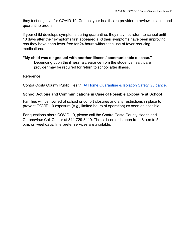they test negative for COVID-19. Contact your healthcare provider to review isolation and quarantine orders.

If your child develops symptoms during quarantine, they may not return to school until 10 days after their symptoms first appeared *and* their symptoms have been improving *and* they have been fever-free for 24 hours without the use of fever-reducing medications.

#### **"My child was diagnosed with another illness / communicable disease."** Depending upon the illness, a clearance from the student's healthcare provider may be required for return to school after illness.

Reference:

<span id="page-18-0"></span>Contra Costa County Public Health At Home Quarantine [& Isolation Safety Guidance](https://www.coronavirus.cchealth.org/for-covid-19-patients)*.*

#### **School Actions and Communications in Case of Possible Exposure at School**

Families will be notified of school or cohort closures and any restrictions in place to prevent COVID-19 exposure (*e.g.,* limited hours of operation) as soon as possible.

For questions about COVID-19, please call the Contra Costa County Health and Coronavirus Call Center at 844-729-8410. The call center is open from 8 a.m to 5 p.m. on weekdays. Interpreter services are available.